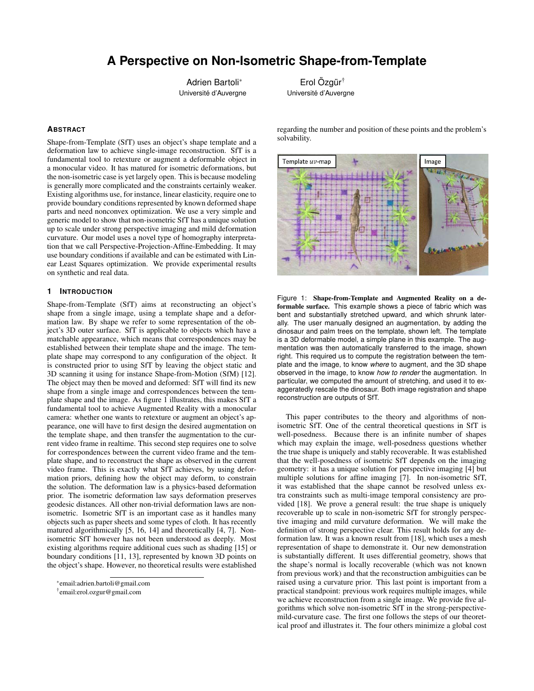# **A Perspective on Non-Isometric Shape-from-Template**

Adrien Bartoli<sup>∗</sup> Université d'Auverane

Erol Özgür<sup>†</sup> Université d'Auvergne

## **ABSTRACT**

Shape-from-Template (SfT) uses an object's shape template and a deformation law to achieve single-image reconstruction. SfT is a fundamental tool to retexture or augment a deformable object in a monocular video. It has matured for isometric deformations, but the non-isometric case is yet largely open. This is because modeling is generally more complicated and the constraints certainly weaker. Existing algorithms use, for instance, linear elasticity, require one to provide boundary conditions represented by known deformed shape parts and need nonconvex optimization. We use a very simple and generic model to show that non-isometric SfT has a unique solution up to scale under strong perspective imaging and mild deformation curvature. Our model uses a novel type of homography interpretation that we call Perspective-Projection-Affine-Embedding. It may use boundary conditions if available and can be estimated with Linear Least Squares optimization. We provide experimental results on synthetic and real data.

## **1 INTRODUCTION**

Shape-from-Template (SfT) aims at reconstructing an object's shape from a single image, using a template shape and a deformation law. By shape we refer to some representation of the object's 3D outer surface. SfT is applicable to objects which have a matchable appearance, which means that correspondences may be established between their template shape and the image. The template shape may correspond to any configuration of the object. It is constructed prior to using SfT by leaving the object static and 3D scanning it using for instance Shape-from-Motion (SfM) [12]. The object may then be moved and deformed: SfT will find its new shape from a single image and correspondences between the template shape and the image. As figure 1 illustrates, this makes SfT a fundamental tool to achieve Augmented Reality with a monocular camera: whether one wants to retexture or augment an object's appearance, one will have to first design the desired augmentation on the template shape, and then transfer the augmentation to the current video frame in realtime. This second step requires one to solve for correspondences between the current video frame and the template shape, and to reconstruct the shape as observed in the current video frame. This is exactly what SfT achieves, by using deformation priors, defining how the object may deform, to constrain the solution. The deformation law is a physics-based deformation prior. The isometric deformation law says deformation preserves geodesic distances. All other non-trivial deformation laws are nonisometric. Isometric SfT is an important case as it handles many objects such as paper sheets and some types of cloth. It has recently matured algorithmically [5, 16, 14] and theoretically [4, 7]. Nonisometric SfT however has not been understood as deeply. Most existing algorithms require additional cues such as shading [15] or boundary conditions [11, 13], represented by known 3D points on the object's shape. However, no theoretical results were established

regarding the number and position of these points and the problem's solvability.



Figure 1: Shape-from-Template and Augmented Reality on a deformable surface. This example shows a piece of fabric which was bent and substantially stretched upward, and which shrunk laterally. The user manually designed an augmentation, by adding the dinosaur and palm trees on the template, shown left. The template is a 3D deformable model, a simple plane in this example. The augmentation was then automatically transferred to the image, shown right. This required us to compute the registration between the template and the image, to know *where* to augment, and the 3D shape observed in the image, to know *how to render* the augmentation. In particular, we computed the amount of stretching, and used it to exaggeratedly rescale the dinosaur. Both image registration and shape reconstruction are outputs of SfT.

This paper contributes to the theory and algorithms of nonisometric SfT. One of the central theoretical questions in SfT is well-posedness. Because there is an infinite number of shapes which may explain the image, well-posedness questions whether the true shape is uniquely and stably recoverable. It was established that the well-posedness of isometric SfT depends on the imaging geometry: it has a unique solution for perspective imaging [4] but multiple solutions for affine imaging [7]. In non-isometric SfT, it was established that the shape cannot be resolved unless extra constraints such as multi-image temporal consistency are provided [18]. We prove a general result: the true shape is uniquely recoverable up to scale in non-isometric SfT for strongly perspective imaging and mild curvature deformation. We will make the definition of strong perspective clear. This result holds for any deformation law. It was a known result from [18], which uses a mesh representation of shape to demonstrate it. Our new demonstration is substantially different. It uses differential geometry, shows that the shape's normal is locally recoverable (which was not known from previous work) and that the reconstruction ambiguities can be raised using a curvature prior. This last point is important from a practical standpoint: previous work requires multiple images, while we achieve reconstruction from a single image. We provide five algorithms which solve non-isometric SfT in the strong-perspectivemild-curvature case. The first one follows the steps of our theoretical proof and illustrates it. The four others minimize a global cost

<sup>∗</sup> email:adrien.bartoli@gmail.com

<sup>†</sup> email:erol.ozgur@gmail.com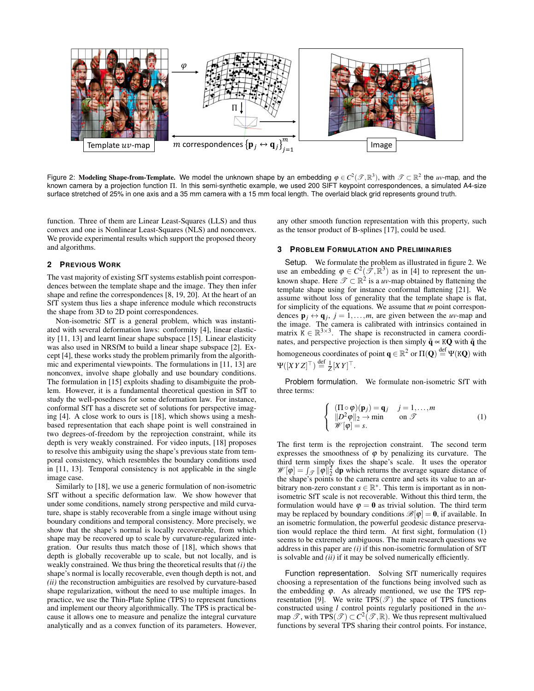

Figure 2: Modeling Shape-from-Template. We model the unknown shape by an embedding  $\varphi \in C^2(\mathscr{T},\mathbb{R}^3),$  with  $\mathscr{T} \subset \mathbb{R}^2$  the *uv*-map, and the known camera by a projection function Π. In this semi-synthetic example, we used 200 SIFT keypoint correspondences, a simulated A4-size surface stretched of 25% in one axis and a 35 mm camera with a 15 mm focal length. The overlaid black grid represents ground truth.

function. Three of them are Linear Least-Squares (LLS) and thus convex and one is Nonlinear Least-Squares (NLS) and nonconvex. We provide experimental results which support the proposed theory and algorithms.

## **2 PREVIOUS WORK**

The vast majority of existing SfT systems establish point correspondences between the template shape and the image. They then infer shape and refine the correspondences [8, 19, 20]. At the heart of an SfT system thus lies a shape inference module which reconstructs the shape from 3D to 2D point correspondences.

Non-isometric SfT is a general problem, which was instantiated with several deformation laws: conformity [4], linear elasticity [11, 13] and learnt linear shape subspace [15]. Linear elasticity was also used in NRSfM to build a linear shape subspace [2]. Except [4], these works study the problem primarily from the algorithmic and experimental viewpoints. The formulations in [11, 13] are nonconvex, involve shape globally and use boundary conditions. The formulation in [15] exploits shading to disambiguite the problem. However, it is a fundamental theoretical question in SfT to study the well-posedness for some deformation law. For instance, conformal SfT has a discrete set of solutions for perspective imaging [4]. A close work to ours is [18], which shows using a meshbased representation that each shape point is well constrained in two degrees-of-freedom by the reprojection constraint, while its depth is very weakly constrained. For video inputs, [18] proposes to resolve this ambiguity using the shape's previous state from temporal consistency, which resembles the boundary conditions used in [11, 13]. Temporal consistency is not applicable in the single image case.

Similarly to [18], we use a generic formulation of non-isometric SfT without a specific deformation law. We show however that under some conditions, namely strong perspective and mild curvature, shape is stably recoverable from a single image without using boundary conditions and temporal consistency. More precisely, we show that the shape's normal is locally recoverable, from which shape may be recovered up to scale by curvature-regularized integration. Our results thus match those of [18], which shows that depth is globally recoverable up to scale, but not locally, and is weakly constrained. We thus bring the theoretical results that *(i)* the shape's normal is locally recoverable, even though depth is not, and *(ii)* the reconstruction ambiguities are resolved by curvature-based shape regularization, without the need to use multiple images. In practice, we use the Thin-Plate Spline (TPS) to represent functions and implement our theory algorithmically. The TPS is practical because it allows one to measure and penalize the integral curvature analytically and as a convex function of its parameters. However,

any other smooth function representation with this property, such as the tensor product of B-splines [17], could be used.

## **3 PROBLEM FORMULATION AND PRELIMINARIES**

Setup. We formulate the problem as illustrated in figure 2. We use an embedding  $\varphi \in C^2(\mathcal{F}, \mathbb{R}^3)$  as in [4] to represent the unknown shape. Here  $\mathscr{T} \subset \mathbb{R}^2$  is a *uv*-map obtained by flattening the template shape using for instance conformal flattening [21]. We assume without loss of generality that the template shape is flat, for simplicity of the equations. We assume that *m* point correspondences  $\mathbf{p}_j \leftrightarrow \mathbf{q}_j$ ,  $j = 1, \dots, m$ , are given between the *uv*-map and the image. The camera is calibrated with intrinsics contained in matrix  $\breve{K} \in \mathbb{R}^{3 \times 3}$ . The shape is reconstructed in camera coordinates, and perspective projection is then simply  $\tilde{\mathbf{q}} \propto \mathbf{KQ}$  with  $\tilde{\mathbf{q}}$  the homogeneous coordinates of point  $\mathbf{q} \in \mathbb{R}^2$  or  $\Pi(\mathbf{Q}) \stackrel{\text{def}}{=} \Psi(\mathtt{KQ})$  with  $\Psi([XYZ]^{\top}) \stackrel{\text{def}}{=} \frac{1}{Z}[XY]^{\top}.$ 

Problem formulation. We formulate non-isometric SfT with three terms:

$$
\begin{cases}\n(\Pi \circ \varphi)(\mathbf{p}_j) = \mathbf{q}_j & j = 1, ..., m \\
\|D^2 \varphi\|_2 \to \min & \text{on } \mathcal{T} \\
\mathcal{W}[\varphi] = s.\n\end{cases} \tag{1}
$$

The first term is the reprojection constraint. The second term expresses the smoothness of  $\varphi$  by penalizing its curvature. The third term simply fixes the shape's scale. It uses the operator  $\mathscr{W}[\varphi] = \int_{\mathscr{T}} ||\varphi||_2^2$  dp which returns the average square distance of the shape's points to the camera centre and sets its value to an arbitrary non-zero constant  $s \in \mathbb{R}^*$ . This term is important as in nonisometric SfT scale is not recoverable. Without this third term, the formulation would have  $\varphi = 0$  as trivial solution. The third term may be replaced by boundary conditions  $\mathcal{B}[\varphi] = 0$ , if available. In an isometric formulation, the powerful geodesic distance preservation would replace the third term. At first sight, formulation (1) seems to be extremely ambiguous. The main research questions we address in this paper are *(i)* if this non-isometric formulation of SfT is solvable and *(ii)* if it may be solved numerically efficiently.

Function representation. Solving SfT numerically requires choosing a representation of the functions being involved such as the embedding  $\varphi$ . As already mentioned, we use the TPS representation [9]. We write  $TPS(\mathcal{T})$  the space of TPS functions constructed using *l* control points regularly positioned in the *uv*map  $\mathscr{T}$ , with  $\text{TPS}(\mathscr{T}) \subset C^2(\mathscr{T}, \mathbb{R})$ . We thus represent multivalued functions by several TPS sharing their control points. For instance,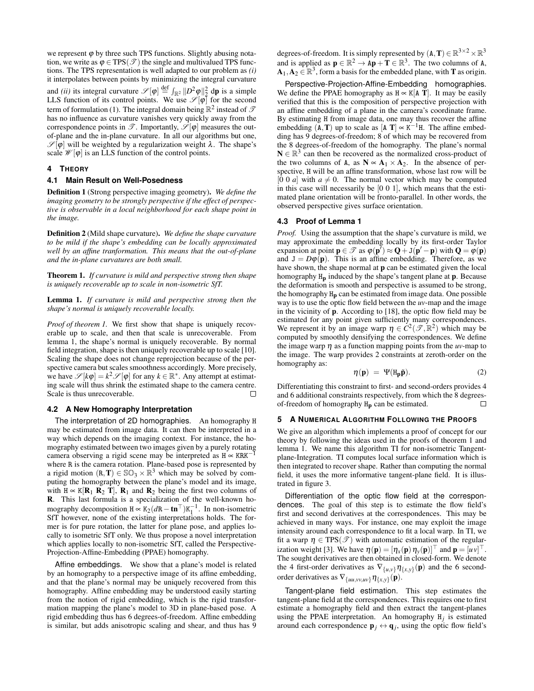we represent  $\varphi$  by three such TPS functions. Slightly abusing notation, we write as  $\varphi \in TPS(\mathcal{T})$  the single and multivalued TPS functions. The TPS representation is well adapted to our problem as *(i)* it interpolates between points by minimizing the integral curvature and *(ii)* its integral curvature  $\mathscr{S}[\varphi] \stackrel{\text{def}}{=} \int_{\mathbb{R}^2} ||D^2 \varphi||_2^2 d\mathbf{p}$  is a simple LLS function of its control points. We use  $\mathscr{S}[\varphi]$  for the second term of formulation (1). The integral domain being  $\mathbb{R}^2$  instead of  $\mathscr{I}$ has no influence as curvature vanishes very quickly away from the correspondence points in  $\mathscr{T}$ . Importantly,  $\mathscr{S}[\varphi]$  measures the outof-plane and the in-plane curvature. In all our algorithms but one,  $\mathscr{S}[\varphi]$  will be weighted by a regularization weight  $\lambda$ . The shape's scale  $\mathcal{W}[\varphi]$  is an LLS function of the control points.

#### **4 THEORY**

#### **4.1 Main Result on Well-Posedness**

Definition 1 (Strong perspective imaging geometry). *We define the imaging geometry to be strongly perspective if the effect of perspective is observable in a local neighborhood for each shape point in the image.*

Definition 2 (Mild shape curvature). *We define the shape curvature to be mild if the shape's embedding can be locally approximated well by an affine tranformation. This means that the out-of-plane and the in-plane curvatures are both small.*

Theorem 1. *If curvature is mild and perspective strong then shape is uniquely recoverable up to scale in non-isometric SfT.*

Lemma 1. *If curvature is mild and perspective strong then the shape's normal is uniquely recoverable locally.*

*Proof of theorem 1.* We first show that shape is uniquely recoverable up to scale, and then that scale is unrecoverable. From lemma 1, the shape's normal is uniquely recoverable. By normal field integration, shape is then uniquely recoverable up to scale [10]. Scaling the shape does not change reprojection because of the perspective camera but scales smoothness accordingly. More precisely, we have  $\mathscr{S}[k\varphi] = k^2 \mathscr{S}[\varphi]$  for any  $k \in \mathbb{R}^*$ . Any attempt at estimating scale will thus shrink the estimated shape to the camera centre. Scale is thus unrecoverable.  $\Box$ 

#### **4.2 A New Homography Interpretation**

The interpretation of 2D homographies. An homography H may be estimated from image data. It can then be interpreted in a way which depends on the imaging context. For instance, the homography estimated between two images given by a purely rotating camera observing a rigid scene may be interpreted as  $H \propto KRK^{-1}$ where R is the camera rotation. Plane-based pose is represented by a rigid motion  $(R, T) \in \mathbb{SO}_3 \times \mathbb{R}^3$  which may be solved by computing the homography between the plane's model and its image, with H ∝ K[ $\mathbf{R}_1$   $\mathbf{R}_2$  T],  $\mathbf{R}_1$  and  $\mathbf{R}_2$  being the first two columns of R. This last formula is a specialization of the well-known homography decomposition  $H \propto K_2 (dR - \mathbf{tn}^\top) K_1^{-1}$ . In non-isometric SfT however, none of the existing interpretations holds. The former is for pure rotation, the latter for plane pose, and applies locally to isometric SfT only. We thus propose a novel interpretation which applies locally to non-isometric SfT, called the Perspective-Projection-Affine-Embedding (PPAE) homography.

Affine embeddings. We show that a plane's model is related by an homography to a perspective image of its affine embedding, and that the plane's normal may be uniquely recovered from this homography. Affine embedding may be understood easily starting from the notion of rigid embedding, which is the rigid transformation mapping the plane's model to 3D in plane-based pose. A rigid embedding thus has 6 degrees-of-freedom. Affine embedding is similar, but adds anisotropic scaling and shear, and thus has 9 degrees-of-freedom. It is simply represented by  $(A, T) \in \mathbb{R}^{3 \times 2} \times \mathbb{R}^{3}$ and is applied as  $\mathbf{p} \in \mathbb{R}^2 \to \mathbf{A}\mathbf{p} + \mathbf{T} \in \mathbb{R}^3$ . The two columns of A,  $A_1, A_2 \in \mathbb{R}^3$ , form a basis for the embedded plane, with **T** as origin.

Perspective-Projection-Affine-Embedding homographies. We define the PPAE homography as  $H \propto K[A T]$ . It may be easily verified that this is the composition of perspective projection with an affine embedding of a plane in the camera's coordinate frame. By estimating H from image data, one may thus recover the affine embedding  $(\mathbf{A}, \mathbf{T})$  up to scale as  $[\mathbf{A} \ \mathbf{T}] \propto \mathbf{K}^{-1} \mathbf{H}$ . The affine embedding has 9 degrees-of-freedom; 8 of which may be recovered from the 8 degrees-of-freedom of the homography. The plane's normal  $N \in \mathbb{R}^3$  can then be recovered as the normalized cross-product of the two columns of A, as  $N \propto A_1 \times A_2$ . In the absence of perspective, H will be an affine transformation, whose last row will be [0 0 *a*] with  $a \neq 0$ . The normal vector which may be computed in this case will necessarily be [0 0 1], which means that the estimated plane orientation will be fronto-parallel. In other words, the observed perspective gives surface orientation.

#### **4.3 Proof of Lemma 1**

*Proof.* Using the assumption that the shape's curvature is mild, we may approximate the embedding locally by its first-order Taylor expansion at point  $\mathbf{p} \in \mathcal{T}$  as  $\varphi(\mathbf{p}') \approx \mathbf{Q} + \mathbf{J}(\mathbf{p}' - \mathbf{p})$  with  $\mathbf{Q} = \varphi(\mathbf{p})$ and  $J = D\varphi(\mathbf{p})$ . This is an affine embedding. Therefore, as we have shown, the shape normal at **p** can be estimated given the local homography  $H_p$  induced by the shape's tangent plane at **p**. Because the deformation is smooth and perspective is assumed to be strong, the homography  $H_p$  can be estimated from image data. One possible way is to use the optic flow field between the *uv*-map and the image in the vicinity of p. According to [18], the optic flow field may be estimated for any point given sufficiently many correspondences. We represent it by an image warp  $\eta \in C^2(\mathcal{I}, \mathbb{R}^2)$  which may be computed by smoothly densifying the correspondences. We define the image warp  $\eta$  as a function mapping points from the *uv*-map to the image. The warp provides 2 constraints at zeroth-order on the homography as:

$$
\eta(\mathbf{p}) = \Psi(\mathbf{H}_{\mathbf{p}}\tilde{\mathbf{p}}).
$$
 (2)

Differentiating this constraint to first- and second-orders provides 4 and 6 additional constraints respectively, from which the 8 degreesof-freedom of homography Hp can be estimated.  $\Box$ 

#### **5 A NUMERICAL ALGORITHM FOLLOWING THE PROOFS**

We give an algorithm which implements a proof of concept for our theory by following the ideas used in the proofs of theorem 1 and lemma 1. We name this algorithm TI for non-isometric Tangentplane-Integration. TI computes local surface information which is then integrated to recover shape. Rather than computing the normal field, it uses the more informative tangent-plane field. It is illustrated in figure 3.

Differentiation of the optic flow field at the correspondences. The goal of this step is to estimate the flow field's first and second derivatives at the correspondences. This may be achieved in many ways. For instance, one may exploit the image intensity around each correspondence to fit a local warp. In TI, we fit a warp  $\eta \in TPS(\mathcal{T})$  with automatic estimation of the regularization weight [3]. We have  $\boldsymbol{\eta}(\mathbf{p}) = [\eta_x(\mathbf{p}) \, \eta_y(\mathbf{p})]^\top$  and  $\mathbf{p} = [u v]^\top$ . The sought derivatives are then obtained in closed-form. We denote the 4 first-order derivatives as  $\nabla_{\{u,v\}} \eta_{\{x,y\}}(\mathbf{p})$  and the 6 secondorder derivatives as  $\nabla_{\{uu,vv,uv\}} \eta_{\{x,y\}}(\mathbf{p}).$ 

Tangent-plane field estimation. This step estimates the tangent-plane field at the correspondences. This requires one to first estimate a homography field and then extract the tangent-planes using the PPAE interpretation. An homography  $H_j$  is estimated around each correspondence  $\mathbf{p}_j \leftrightarrow \mathbf{q}_j$ , using the optic flow field's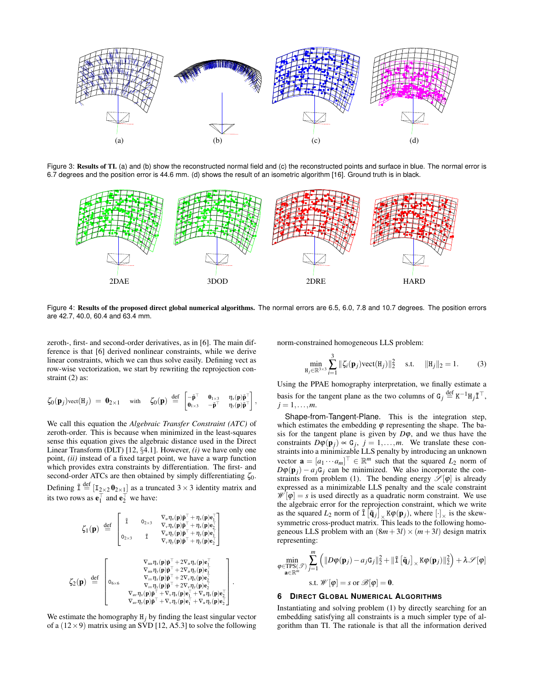

Figure 3: Results of TI. (a) and (b) show the reconstructed normal field and (c) the reconstructed points and surface in blue. The normal error is 6.7 degrees and the position error is 44.6 mm. (d) shows the result of an isometric algorithm [16]. Ground truth is in black.



Figure 4: Results of the proposed direct global numerical algorithms. The normal errors are 6.5, 6.0, 7.8 and 10.7 degrees. The position errors are 42.7, 40.0, 60.4 and 63.4 mm.

.

zeroth-, first- and second-order derivatives, as in [6]. The main difference is that [6] derived nonlinear constraints, while we derive linear constraints, which we can thus solve easily. Defining vect as row-wise vectorization, we start by rewriting the reprojection constraint (2) as:

$$
\zeta_0(\mathbf{p}_j)\text{vect}(\mathbf{H}_j) = \mathbf{0}_{2\times 1} \quad \text{with} \quad \zeta_0(\mathbf{p}) \stackrel{\text{def}}{=} \begin{bmatrix} -\mathbf{\tilde{p}}^{\top} & \mathbf{0}_{1\times 3} & \eta_x(\mathbf{p})\mathbf{\tilde{p}}^{\top} \\ \mathbf{0}_{1\times 3} & -\mathbf{\tilde{p}}^{\top} & \eta_y(\mathbf{p})\mathbf{\tilde{p}}^{\top} \end{bmatrix},
$$

We call this equation the *Algebraic Transfer Constraint (ATC)* of zeroth-order. This is because when minimized in the least-squares sense this equation gives the algebraic distance used in the Direct Linear Transform (DLT) [12, §4.1]. However, *(i)* we have only one point, *(ii)* instead of a fixed target point, we have a warp function which provides extra constraints by differentiation. The first- and second-order ATCs are then obtained by simply differentiating  $\zeta_0$ . Defining  $\tilde{\mathbf{I}} \stackrel{\text{def}}{=} [\mathbf{I}_{2\times2} \mathbf{0}_{2\times1}]$  as a truncated  $3 \times 3$  identity matrix and its two rows as  $\mathbf{e}_1^{\top}$  and  $\mathbf{e}_2^{\top}$  we have:

$$
\zeta_1(\mathbf{p}) \stackrel{\text{def}}{=} \begin{bmatrix}\n\tilde{\mathbf{I}} & \mathbf{0}_{2\times 3} & \nabla_u \eta_x(\mathbf{p}) \tilde{\mathbf{p}}^\top + \eta_x(\mathbf{p}) \mathbf{e}_1^\top \\
\tilde{\mathbf{V}}_1(\mathbf{p}) \tilde{\mathbf{p}}^\top + \eta_x(\mathbf{p}) \mathbf{e}_2^\top \\
\mathbf{0}_{2\times 3} & \tilde{\mathbf{I}} & \nabla_u \eta_y(\mathbf{p}) \tilde{\mathbf{p}}^\top + \eta_y(\mathbf{p}) \mathbf{e}_1^\top \\
\mathbf{V}_y \eta_y(\mathbf{p}) \tilde{\mathbf{p}}^\top + \eta_y(\mathbf{p}) \mathbf{e}_1^\top\n\end{bmatrix} \\
\zeta_2(\mathbf{p}) \stackrel{\text{def}}{=} \begin{bmatrix}\n\tilde{\mathbf{V}}_{uu} \eta_x(\mathbf{p}) \tilde{\mathbf{p}}^\top + 2 \nabla_u \eta_x(\mathbf{p}) \mathbf{e}_1^\top \\
\tilde{\mathbf{V}}_{uu} \eta_y(\mathbf{p}) \tilde{\mathbf{p}}^\top + 2 \nabla_u \eta_x(\mathbf{p}) \mathbf{e}_1^\top \\
\tilde{\mathbf{V}}_{uu} \eta_y(\mathbf{p}) \tilde{\mathbf{p}}^\top + 2 \nabla_y \eta_x(\mathbf{p}) \mathbf{e}_2^\top \\
\tilde{\mathbf{V}}_{vv} \eta_x(\mathbf{p}) \tilde{\mathbf{p}}^\top + \nabla_v \eta_x(\mathbf{p}) \mathbf{e}_2^\top \\
\tilde{\mathbf{V}}_{uv} \eta_y(\mathbf{p}) \tilde{\mathbf{p}}^\top + \nabla_v \eta_y(\mathbf{p}) \mathbf{e}_1^\top + \nabla_u \eta_x(\mathbf{p}) \mathbf{e}_2^\top \\
\tilde{\mathbf{V}}_{uv} \eta_y(\mathbf{p}) \tilde{\mathbf{p}}^\top + \nabla_v \eta_y(\mathbf{p}) \mathbf{e}_1^\top + \nabla_u \eta_y(\mathbf{p}) \mathbf{e}_2^\top\n\end{bmatrix}
$$

We estimate the homography  $H_j$  by finding the least singular vector of a  $(12 \times 9)$  matrix using an SVD [12, A5.3] to solve the following norm-constrained homogeneous LLS problem:

$$
\min_{\mathbf{H}_j \in \mathbb{R}^{3 \times 3}} \sum_{i=1}^3 \|\zeta_i(\mathbf{p}_j)\text{vect}(\mathbf{H}_j)\|_2^2 \quad \text{s.t.} \quad \|\mathbf{H}_j\|_2 = 1. \tag{3}
$$

Using the PPAE homography interpretation, we finally estimate a basis for the tangent plane as the two columns of  $G_j \stackrel{\text{def}}{=} K^{-1} H_j \tilde{\mathbb{1}}^{\top}$ ,  $j = 1, \ldots, m$ .

Shape-from-Tangent-Plane. This is the integration step, which estimates the embedding  $\varphi$  representing the shape. The basis for the tangent plane is given by  $D\varphi$ , and we thus have the constraints  $D\varphi(\mathbf{p}_j) \propto \mathbf{G}_j$ ,  $j = 1, \ldots, m$ . We translate these constraints into a minimizable LLS penalty by introducing an unknown vector  $\mathbf{a} = [a_1 \cdots a_m]^\top \in \mathbb{R}^m$  such that the squared  $L_2$  norm of  $D\varphi(\mathbf{p}_j) - a_j \mathbf{G}_j$  can be minimized. We also incorporate the constraints from problem (1). The bending energy  $\mathscr{S}[\varphi]$  is already expressed as a minimizable LLS penalty and the scale constraint  $\mathscr{W}[\varphi] = s$  is used directly as a quadratic norm constraint. We use the algebraic error for the reprojection constraint, which we write as the squared  $L_2$  norm of  $\tilde{\text{I}}\left[\tilde{\text{q}}_j\right]_{\times} K\varphi(\textbf{p}_j)$ , where  $[\cdot]_{\times}$  is the skewsymmetric cross-product matrix. This leads to the following homogeneous LLS problem with an  $(8m+3l) \times (m+3l)$  design matrix representing:

$$
\min_{\boldsymbol{\varphi} \in \text{TPS}(\mathcal{P})} \sum_{j=1}^{m} \left( \|D\boldsymbol{\varphi}(\mathbf{p}_j) - a_j \mathbf{G}_j\|_2^2 + \|\tilde{\mathbf{I}}\left[\tilde{\mathbf{q}}_j\right]_{\times} \mathbf{K} \boldsymbol{\varphi}(\mathbf{p}_j)\|_2^2 \right) + \lambda \mathcal{S}[\boldsymbol{\varphi}]
$$
\ns.t.  $\mathcal{W}[\boldsymbol{\varphi}] = s$  or  $\mathcal{B}[\boldsymbol{\varphi}] = \mathbf{0}$ .

## **6 DIRECT GLOBAL NUMERICAL ALGORITHMS**

Instantiating and solving problem (1) by directly searching for an embedding satisfying all constraints is a much simpler type of algorithm than TI. The rationale is that all the information derived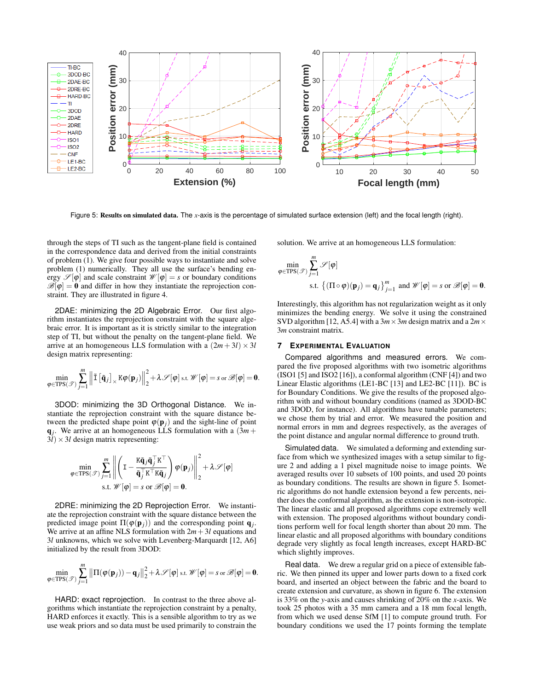

Figure 5: Results on simulated data. The *x*-axis is the percentage of simulated surface extension (left) and the focal length (right).

through the steps of TI such as the tangent-plane field is contained in the correspondence data and derived from the initial constraints of problem (1). We give four possible ways to instantiate and solve problem (1) numerically. They all use the surface's bending energy  $\mathscr{S}[\varphi]$  and scale constraint  $\mathscr{W}[\varphi] = s$  or boundary conditions  $\mathscr{B}[\varphi] = 0$  and differ in how they instantiate the reprojection constraint. They are illustrated in figure 4.

2DAE: minimizing the 2D Algebraic Error. Our first algorithm instantiates the reprojection constraint with the square algebraic error. It is important as it is strictly similar to the integration step of TI, but without the penalty on the tangent-plane field. We arrive at an homogeneous LLS formulation with a  $(2m + 3l) \times 3l$ design matrix representing:

$$
\min_{\varphi \in TPS(\mathscr{T})} \sum_{j=1}^m \left\| \tilde{\mathbf{I}} \left[ \tilde{\mathbf{q}}_j \right]_{\times} K \varphi(\mathbf{p}_j) \right\|_2^2 + \lambda \mathscr{S}[\varphi] \text{ s.t. } \mathscr{W}[\varphi] = s \text{ or } \mathscr{B}[\varphi] = \mathbf{0}.
$$

3DOD: minimizing the 3D Orthogonal Distance. We instantiate the reprojection constraint with the square distance between the predicted shape point  $\varphi(\mathbf{p}_i)$  and the sight-line of point  $q_j$ . We arrive at an homogeneous LLS formulation with a  $(3m +$  $3*l*$   $\times$  3*l* design matrix representing:

$$
\min_{\varphi \in TPS(\mathcal{F})} \sum_{j=1}^{m} \left\| \left( \mathbf{I} - \frac{\mathbf{K}\tilde{\mathbf{q}}_{j}\tilde{\mathbf{q}}_{j}^{\top}\mathbf{K}^{\top}}{\tilde{\mathbf{q}}_{j}^{\top}\mathbf{K}^{\top}\mathbf{K}\tilde{\mathbf{q}}_{j}} \right) \varphi(\mathbf{p}_{j}) \right\|_{2}^{2} + \lambda \mathcal{S}[\varphi]
$$
\ns.t.  $\mathscr{W}[\varphi] = s$  or  $\mathscr{B}[\varphi] = \mathbf{0}$ .

2DRE: minimizing the 2D Reprojection Error. We instantiate the reprojection constraint with the square distance between the predicted image point  $\Pi(\varphi(\mathbf{p}_j))$  and the corresponding point  $\mathbf{q}_j$ . We arrive at an affine NLS formulation with  $2m+3l$  equations and 3*l* unknowns, which we solve with Levenberg-Marquardt [12, A6] initialized by the result from 3DOD:

$$
\min_{\varphi \in TPS(\mathscr{T})} \sum_{j=1}^m \left\| \Pi(\varphi(\mathbf{p}_j)) - \mathbf{q}_j \right\|_2^2 + \lambda \mathscr{S}[\varphi] \text{ s.t. } \mathscr{W}[\varphi] = s \text{ or } \mathscr{B}[\varphi] = \mathbf{0}.
$$

HARD: exact reprojection. In contrast to the three above algorithms which instantiate the reprojection constraint by a penalty, HARD enforces it exactly. This is a sensible algorithm to try as we use weak priors and so data must be used primarily to constrain the solution. We arrive at an homogeneous LLS formulation:

$$
\min_{\varphi \in TPS(\mathcal{F})} \sum_{j=1}^{m} \mathcal{S}[\varphi]
$$
\n
$$
\text{s.t. } \left\{ (\Pi \circ \varphi)(\mathbf{p}_j) = \mathbf{q}_j \right\}_{j=1}^{m} \text{ and } \mathcal{W}[\varphi] = s \text{ or } \mathcal{B}[\varphi] = \mathbf{0}.
$$

Interestingly, this algorithm has not regularization weight as it only minimizes the bending energy. We solve it using the constrained SVD algorithm [12, A5.4] with a  $3m \times 3m$  design matrix and a  $2m \times$ 3*m* constraint matrix.

## **7 EXPERIMENTAL EVALUATION**

Compared algorithms and measured errors. We compared the five proposed algorithms with two isometric algorithms (ISO1 [5] and ISO2 [16]), a conformal algorithm (CNF [4]) and two Linear Elastic algorithms (LE1-BC [13] and LE2-BC [11]). BC is for Boundary Conditions. We give the results of the proposed algorithm with and without boundary conditions (named as 3DOD-BC and 3DOD, for instance). All algorithms have tunable parameters; we chose them by trial and error. We measured the position and normal errors in mm and degrees respectively, as the averages of the point distance and angular normal difference to ground truth.

Simulated data. We simulated a deforming and extending surface from which we synthesized images with a setup similar to figure 2 and adding a 1 pixel magnitude noise to image points. We averaged results over 10 subsets of 100 points, and used 20 points as boundary conditions. The results are shown in figure 5. Isometric algorithms do not handle extension beyond a few percents, neither does the conformal algorithm, as the extension is non-isotropic. The linear elastic and all proposed algorithms cope extremely well with extension. The proposed algorithms without boundary conditions perform well for focal length shorter than about 20 mm. The linear elastic and all proposed algorithms with boundary conditions degrade very slightly as focal length increases, except HARD-BC which slightly improves.

Real data. We drew a regular grid on a piece of extensible fabric. We then pinned its upper and lower parts down to a fixed cork board, and inserted an object between the fabric and the board to create extension and curvature, as shown in figure 6. The extension is 33% on the *y*-axis and causes shrinking of 20% on the *x*-axis. We took 25 photos with a 35 mm camera and a 18 mm focal length, from which we used dense SfM [1] to compute ground truth. For boundary conditions we used the 17 points forming the template